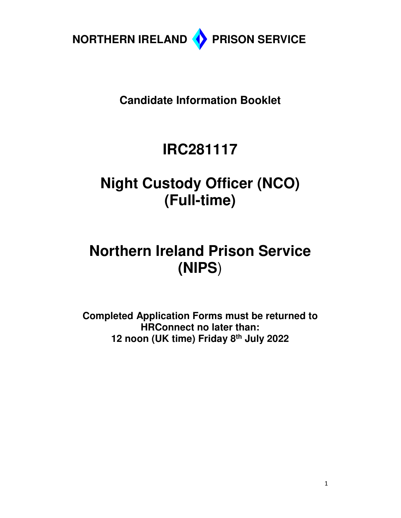

**Candidate Information Booklet** 

# **IRC281117**

# **Night Custody Officer (NCO) (Full-time)**

# **Northern Ireland Prison Service (NIPS**)

**Completed Application Forms must be returned to HRConnect no later than: 12 noon (UK time) Friday 8th July 2022**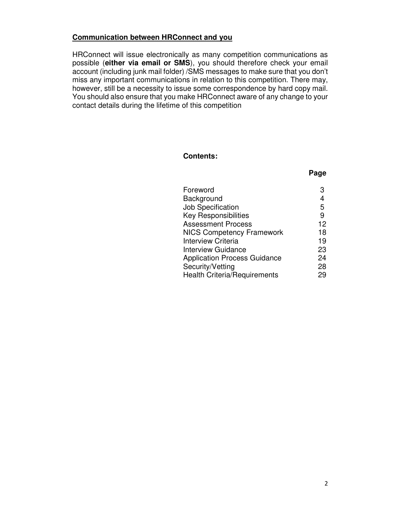## **Communication between HRConnect and you**

HRConnect will issue electronically as many competition communications as possible (**either via email or SMS**), you should therefore check your email account (including junk mail folder) /SMS messages to make sure that you don't miss any important communications in relation to this competition. There may, however, still be a necessity to issue some correspondence by hard copy mail. You should also ensure that you make HRConnect aware of any change to your contact details during the lifetime of this competition

## **Contents:**

# **Page**

| Foreword                            |    |
|-------------------------------------|----|
| Background                          | 4  |
| <b>Job Specification</b>            | 5  |
| <b>Key Responsibilities</b>         | 9  |
| <b>Assessment Process</b>           | 12 |
| <b>NICS Competency Framework</b>    | 18 |
| <b>Interview Criteria</b>           | 19 |
| <b>Interview Guidance</b>           | 23 |
| <b>Application Process Guidance</b> | 24 |
| Security/Vetting                    | 28 |
| <b>Health Criteria/Requirements</b> | 29 |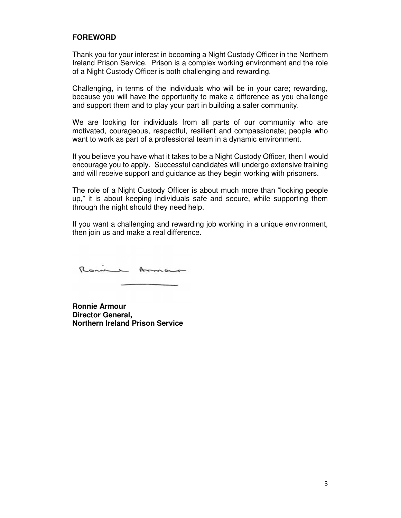#### **FOREWORD**

Thank you for your interest in becoming a Night Custody Officer in the Northern Ireland Prison Service. Prison is a complex working environment and the role of a Night Custody Officer is both challenging and rewarding.

Challenging, in terms of the individuals who will be in your care; rewarding, because you will have the opportunity to make a difference as you challenge and support them and to play your part in building a safer community.

We are looking for individuals from all parts of our community who are motivated, courageous, respectful, resilient and compassionate; people who want to work as part of a professional team in a dynamic environment.

If you believe you have what it takes to be a Night Custody Officer, then I would encourage you to apply. Successful candidates will undergo extensive training and will receive support and guidance as they begin working with prisoners.

The role of a Night Custody Officer is about much more than "locking people up," it is about keeping individuals safe and secure, while supporting them through the night should they need help.

If you want a challenging and rewarding job working in a unique environment, then join us and make a real difference.

Rome Armon

**Ronnie Armour Director General, Northern Ireland Prison Service**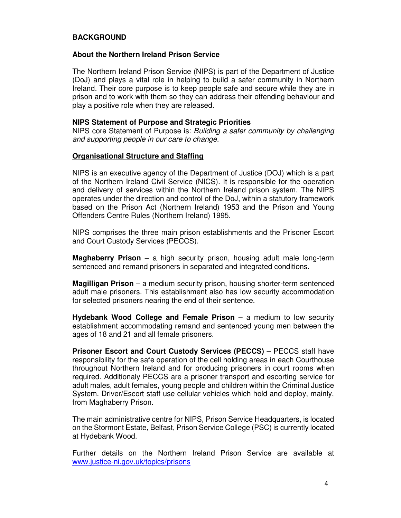#### **BACKGROUND**

#### **About the Northern Ireland Prison Service**

The Northern Ireland Prison Service (NIPS) is part of the Department of Justice (DoJ) and plays a vital role in helping to build a safer community in Northern Ireland. Their core purpose is to keep people safe and secure while they are in prison and to work with them so they can address their offending behaviour and play a positive role when they are released.

#### **NIPS Statement of Purpose and Strategic Priorities**

NIPS core Statement of Purpose is: Building a safer community by challenging and supporting people in our care to change.

#### **Organisational Structure and Staffing**

NIPS is an executive agency of the Department of Justice (DOJ) which is a part of the Northern Ireland Civil Service (NICS). It is responsible for the operation and delivery of services within the Northern Ireland prison system. The NIPS operates under the direction and control of the DoJ, within a statutory framework based on the Prison Act (Northern Ireland) 1953 and the Prison and Young Offenders Centre Rules (Northern Ireland) 1995.

NIPS comprises the three main prison establishments and the Prisoner Escort and Court Custody Services (PECCS).

**Maghaberry Prison** – a high security prison, housing adult male long-term sentenced and remand prisoners in separated and integrated conditions.

**Magilligan Prison** – a medium security prison, housing shorter-term sentenced adult male prisoners. This establishment also has low security accommodation for selected prisoners nearing the end of their sentence.

**Hydebank Wood College and Female Prison** – a medium to low security establishment accommodating remand and sentenced young men between the ages of 18 and 21 and all female prisoners.

**Prisoner Escort and Court Custody Services (PECCS)** – PECCS staff have responsibility for the safe operation of the cell holding areas in each Courthouse throughout Northern Ireland and for producing prisoners in court rooms when required. Additionaly PECCS are a prisoner transport and escorting service for adult males, adult females, young people and children within the Criminal Justice System. Driver/Escort staff use cellular vehicles which hold and deploy, mainly, from Maghaberry Prison.

The main administrative centre for NIPS, Prison Service Headquarters, is located on the Stormont Estate, Belfast, Prison Service College (PSC) is currently located at Hydebank Wood.

Further details on the Northern Ireland Prison Service are available at www.justice-ni.gov.uk/topics/prisons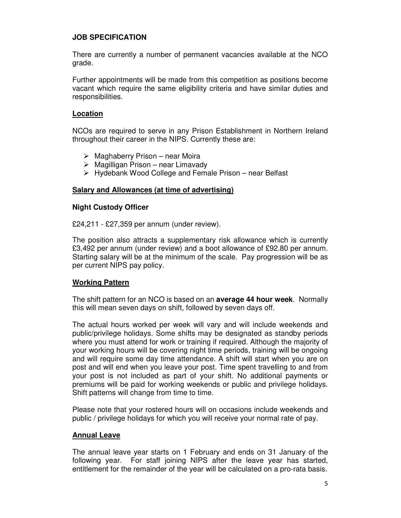## **JOB SPECIFICATION**

There are currently a number of permanent vacancies available at the NCO grade.

Further appointments will be made from this competition as positions become vacant which require the same eligibility criteria and have similar duties and responsibilities.

#### **Location**

NCOs are required to serve in any Prison Establishment in Northern Ireland throughout their career in the NIPS. Currently these are:

- $\triangleright$  Maghaberry Prison near Moira
- $\triangleright$  Magilligan Prison near Limavady
- $\triangleright$  Hydebank Wood College and Female Prison near Belfast

#### **Salary and Allowances (at time of advertising)**

#### **Night Custody Officer**

£24,211 - £27,359 per annum (under review).

The position also attracts a supplementary risk allowance which is currently £3,492 per annum (under review) and a boot allowance of £92.80 per annum. Starting salary will be at the minimum of the scale. Pay progression will be as per current NIPS pay policy.

#### **Working Pattern**

The shift pattern for an NCO is based on an **average 44 hour week**. Normally this will mean seven days on shift, followed by seven days off.

The actual hours worked per week will vary and will include weekends and public/privilege holidays. Some shifts may be designated as standby periods where you must attend for work or training if required. Although the majority of your working hours will be covering night time periods, training will be ongoing and will require some day time attendance. A shift will start when you are on post and will end when you leave your post. Time spent travelling to and from your post is not included as part of your shift. No additional payments or premiums will be paid for working weekends or public and privilege holidays. Shift patterns will change from time to time.

Please note that your rostered hours will on occasions include weekends and public / privilege holidays for which you will receive your normal rate of pay.

#### **Annual Leave**

The annual leave year starts on 1 February and ends on 31 January of the following year. For staff joining NIPS after the leave year has started, entitlement for the remainder of the year will be calculated on a pro-rata basis.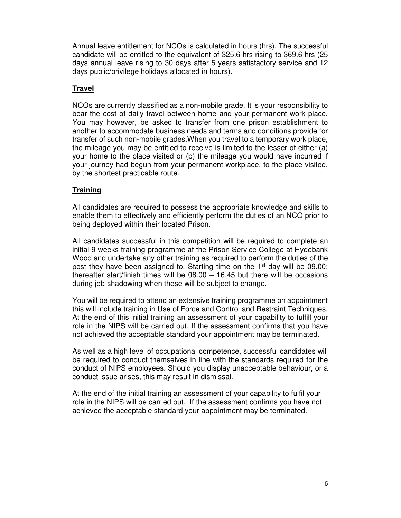Annual leave entitlement for NCOs is calculated in hours (hrs). The successful candidate will be entitled to the equivalent of 325.6 hrs rising to 369.6 hrs (25 days annual leave rising to 30 days after 5 years satisfactory service and 12 days public/privilege holidays allocated in hours).

## **Travel**

NCOs are currently classified as a non-mobile grade. It is your responsibility to bear the cost of daily travel between home and your permanent work place. You may however, be asked to transfer from one prison establishment to another to accommodate business needs and terms and conditions provide for transfer of such non-mobile grades.When you travel to a temporary work place, the mileage you may be entitled to receive is limited to the lesser of either (a) your home to the place visited or (b) the mileage you would have incurred if your journey had begun from your permanent workplace, to the place visited, by the shortest practicable route.

## **Training**

All candidates are required to possess the appropriate knowledge and skills to enable them to effectively and efficiently perform the duties of an NCO prior to being deployed within their located Prison.

All candidates successful in this competition will be required to complete an initial 9 weeks training programme at the Prison Service College at Hydebank Wood and undertake any other training as required to perform the duties of the post they have been assigned to. Starting time on the 1<sup>st</sup> day will be 09.00; thereafter start/finish times will be 08.00 – 16.45 but there will be occasions during job-shadowing when these will be subject to change.

You will be required to attend an extensive training programme on appointment this will include training in Use of Force and Control and Restraint Techniques. At the end of this initial training an assessment of your capability to fulfill your role in the NIPS will be carried out. If the assessment confirms that you have not achieved the acceptable standard your appointment may be terminated.

As well as a high level of occupational competence, successful candidates will be required to conduct themselves in line with the standards required for the conduct of NIPS employees. Should you display unacceptable behaviour, or a conduct issue arises, this may result in dismissal.

At the end of the initial training an assessment of your capability to fulfil your role in the NIPS will be carried out. If the assessment confirms you have not achieved the acceptable standard your appointment may be terminated.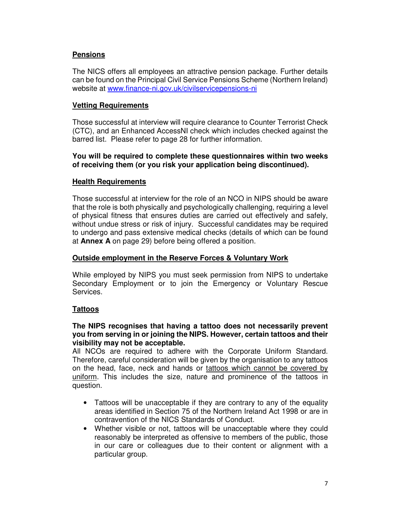# **Pensions**

The NICS offers all employees an attractive pension package. Further details can be found on the Principal Civil Service Pensions Scheme (Northern Ireland) website at www.finance-ni.gov.uk/civilservicepensions-ni

## **Vetting Requirements**

Those successful at interview will require clearance to Counter Terrorist Check (CTC), and an Enhanced AccessNI check which includes checked against the barred list. Please refer to page 28 for further information.

#### **You will be required to complete these questionnaires within two weeks of receiving them (or you risk your application being discontinued).**

#### **Health Requirements**

Those successful at interview for the role of an NCO in NIPS should be aware that the role is both physically and psychologically challenging, requiring a level of physical fitness that ensures duties are carried out effectively and safely, without undue stress or risk of injury. Successful candidates may be required to undergo and pass extensive medical checks (details of which can be found at **Annex A** on page 29) before being offered a position.

#### **Outside employment in the Reserve Forces & Voluntary Work**

While employed by NIPS you must seek permission from NIPS to undertake Secondary Employment or to join the Emergency or Voluntary Rescue Services.

# **Tattoos**

#### **The NIPS recognises that having a tattoo does not necessarily prevent you from serving in or joining the NIPS. However, certain tattoos and their visibility may not be acceptable.**

All NCOs are required to adhere with the Corporate Uniform Standard. Therefore, careful consideration will be given by the organisation to any tattoos on the head, face, neck and hands or tattoos which cannot be covered by uniform. This includes the size, nature and prominence of the tattoos in question.

- Tattoos will be unacceptable if they are contrary to any of the equality areas identified in Section 75 of the Northern Ireland Act 1998 or are in contravention of the NICS Standards of Conduct.
- Whether visible or not, tattoos will be unacceptable where they could reasonably be interpreted as offensive to members of the public, those in our care or colleagues due to their content or alignment with a particular group.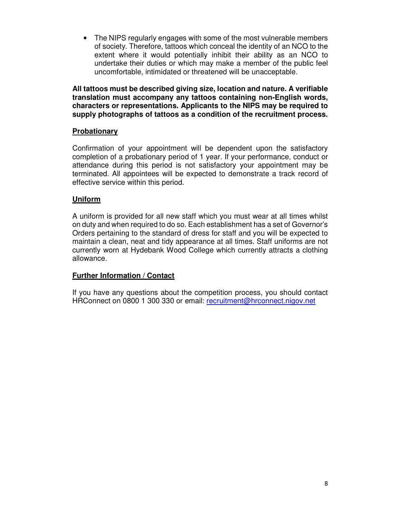• The NIPS regularly engages with some of the most vulnerable members of society. Therefore, tattoos which conceal the identity of an NCO to the extent where it would potentially inhibit their ability as an NCO to undertake their duties or which may make a member of the public feel uncomfortable, intimidated or threatened will be unacceptable.

**All tattoos must be described giving size, location and nature. A verifiable translation must accompany any tattoos containing non-English words, characters or representations. Applicants to the NIPS may be required to supply photographs of tattoos as a condition of the recruitment process.** 

## **Probationary**

Confirmation of your appointment will be dependent upon the satisfactory completion of a probationary period of 1 year. If your performance, conduct or attendance during this period is not satisfactory your appointment may be terminated. All appointees will be expected to demonstrate a track record of effective service within this period.

## **Uniform**

A uniform is provided for all new staff which you must wear at all times whilst on duty and when required to do so. Each establishment has a set of Governor's Orders pertaining to the standard of dress for staff and you will be expected to maintain a clean, neat and tidy appearance at all times. Staff uniforms are not currently worn at Hydebank Wood College which currently attracts a clothing allowance.

#### **Further Information / Contact**

If you have any questions about the competition process, you should contact HRConnect on 0800 1 300 330 or email: recruitment@hrconnect.nigov.net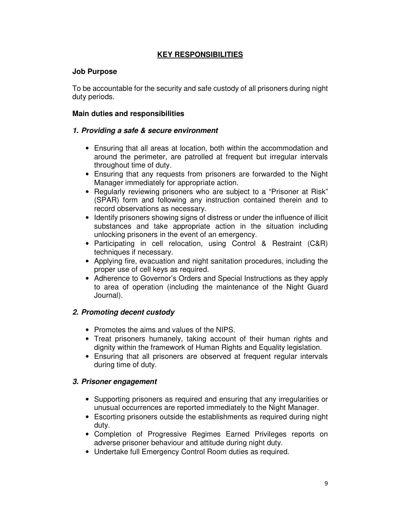## **KEY RESPONSIBILITIES**

## **Job Purpose**

To be accountable for the security and safe custody of all prisoners during night duty periods.

## **Main duties and responsibilities**

#### **1. Providing a safe & secure environment**

- Ensuring that all areas at location, both within the accommodation and around the perimeter, are patrolled at frequent but irregular intervals throughout time of duty.
- Ensuring that any requests from prisoners are forwarded to the Night Manager immediately for appropriate action.
- Regularly reviewing prisoners who are subject to a "Prisoner at Risk" (SPAR) form and following any instruction contained therein and to record observations as necessary.
- Identify prisoners showing signs of distress or under the influence of illicit substances and take appropriate action in the situation including unlocking prisoners in the event of an emergency.
- Participating in cell relocation, using Control & Restraint (C&R) techniques if necessary.
- Applying fire, evacuation and night sanitation procedures, including the proper use of cell keys as required.
- Adherence to Governor's Orders and Special Instructions as they apply to area of operation (including the maintenance of the Night Guard Journal).

# **2. Promoting decent custody**

- Promotes the aims and values of the NIPS.
- Treat prisoners humanely, taking account of their human rights and dignity within the framework of Human Rights and Equality legislation.
- Ensuring that all prisoners are observed at frequent regular intervals during time of duty.

# **3. Prisoner engagement**

- Supporting prisoners as required and ensuring that any irregularities or unusual occurrences are reported immediately to the Night Manager.
- Escorting prisoners outside the establishments as required during night duty.
- Completion of Progressive Regimes Earned Privileges reports on adverse prisoner behaviour and attitude during night duty.
- Undertake full Emergency Control Room duties as required.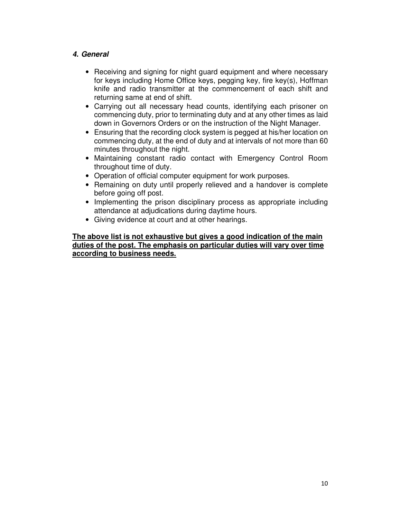# **4. General**

- Receiving and signing for night guard equipment and where necessary for keys including Home Office keys, pegging key, fire key(s), Hoffman knife and radio transmitter at the commencement of each shift and returning same at end of shift.
- Carrying out all necessary head counts, identifying each prisoner on commencing duty, prior to terminating duty and at any other times as laid down in Governors Orders or on the instruction of the Night Manager.
- Ensuring that the recording clock system is pegged at his/her location on commencing duty, at the end of duty and at intervals of not more than 60 minutes throughout the night.
- Maintaining constant radio contact with Emergency Control Room throughout time of duty.
- Operation of official computer equipment for work purposes.
- Remaining on duty until properly relieved and a handover is complete before going off post.
- Implementing the prison disciplinary process as appropriate including attendance at adjudications during daytime hours.
- Giving evidence at court and at other hearings.

**The above list is not exhaustive but gives a good indication of the main duties of the post. The emphasis on particular duties will vary over time according to business needs.**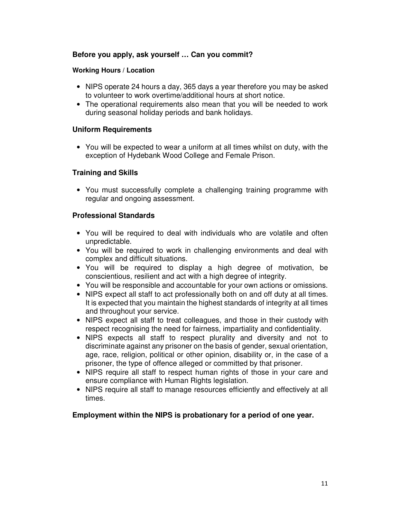## **Before you apply, ask yourself … Can you commit?**

#### **Working Hours / Location**

- NIPS operate 24 hours a day, 365 days a year therefore you may be asked to volunteer to work overtime/additional hours at short notice.
- The operational requirements also mean that you will be needed to work during seasonal holiday periods and bank holidays.

#### **Uniform Requirements**

• You will be expected to wear a uniform at all times whilst on duty, with the exception of Hydebank Wood College and Female Prison.

#### **Training and Skills**

• You must successfully complete a challenging training programme with regular and ongoing assessment.

#### **Professional Standards**

- You will be required to deal with individuals who are volatile and often unpredictable.
- You will be required to work in challenging environments and deal with complex and difficult situations.
- You will be required to display a high degree of motivation, be conscientious, resilient and act with a high degree of integrity.
- You will be responsible and accountable for your own actions or omissions.
- NIPS expect all staff to act professionally both on and off duty at all times. It is expected that you maintain the highest standards of integrity at all times and throughout your service.
- NIPS expect all staff to treat colleagues, and those in their custody with respect recognising the need for fairness, impartiality and confidentiality.
- NIPS expects all staff to respect plurality and diversity and not to discriminate against any prisoner on the basis of gender, sexual orientation, age, race, religion, political or other opinion, disability or, in the case of a prisoner, the type of offence alleged or committed by that prisoner.
- NIPS require all staff to respect human rights of those in your care and ensure compliance with Human Rights legislation.
- NIPS require all staff to manage resources efficiently and effectively at all times.

#### **Employment within the NIPS is probationary for a period of one year.**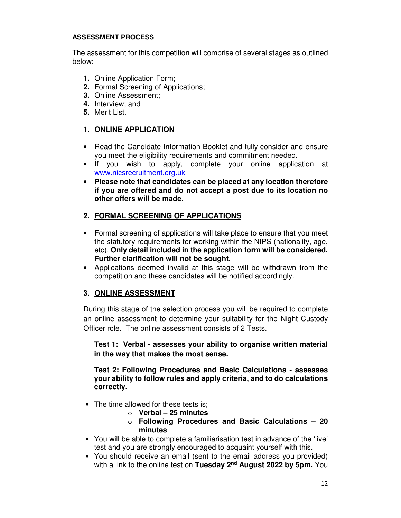#### **ASSESSMENT PROCESS**

The assessment for this competition will comprise of several stages as outlined below:

- **1.** Online Application Form;
- **2.** Formal Screening of Applications;
- **3.** Online Assessment;
- **4.** Interview; and
- **5.** Merit List.

# **1. ONLINE APPLICATION**

- Read the Candidate Information Booklet and fully consider and ensure you meet the eligibility requirements and commitment needed.
- If you wish to apply, complete your online application at www.nicsrecruitment.org.uk
- **Please note that candidates can be placed at any location therefore if you are offered and do not accept a post due to its location no other offers will be made.**

# **2. FORMAL SCREENING OF APPLICATIONS**

- Formal screening of applications will take place to ensure that you meet the statutory requirements for working within the NIPS (nationality, age, etc). **Only detail included in the application form will be considered. Further clarification will not be sought.**
- Applications deemed invalid at this stage will be withdrawn from the competition and these candidates will be notified accordingly.

# **3. ONLINE ASSESSMENT**

During this stage of the selection process you will be required to complete an online assessment to determine your suitability for the Night Custody Officer role. The online assessment consists of 2 Tests.

**Test 1: Verbal - assesses your ability to organise written material in the way that makes the most sense.** 

**Test 2: Following Procedures and Basic Calculations - assesses your ability to follow rules and apply criteria, and to do calculations correctly.**

- The time allowed for these tests is:
	- o **Verbal 25 minutes**
	- o **Following Procedures and Basic Calculations 20 minutes**
- You will be able to complete a familiarisation test in advance of the 'live' test and you are strongly encouraged to acquaint yourself with this.
- You should receive an email (sent to the email address you provided) with a link to the online test on **Tuesday 2nd August 2022 by 5pm.** You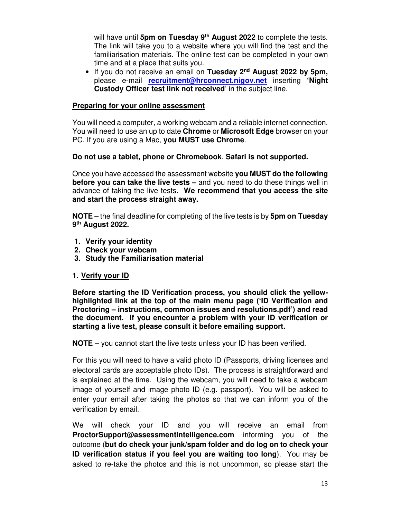will have until **5pm on Tuesday 9th August 2022** to complete the tests. The link will take you to a website where you will find the test and the familiarisation materials. The online test can be completed in your own time and at a place that suits you.

• If you do not receive an email on **Tuesday 2nd August 2022 by 5pm,**  please e-mail **recruitment@hrconnect.nigov.net** inserting **'Night Custody Officer test link not received**' in the subject line.

#### **Preparing for your online assessment**

You will need a computer, a working webcam and a reliable internet connection. You will need to use an up to date **Chrome** or **Microsoft Edge** browser on your PC. If you are using a Mac, **you MUST use Chrome**.

#### **Do not use a tablet, phone or Chromebook**. **Safari is not supported.**

Once you have accessed the assessment website **you MUST do the following before you can take the live tests –** and you need to do these things well in advance of taking the live tests. **We recommend that you access the site and start the process straight away.** 

**NOTE** – the final deadline for completing of the live tests is by **5pm on Tuesday 9 th August 2022.** 

- **1. Verify your identity**
- **2. Check your webcam**
- **3. Study the Familiarisation material**

#### **1. Verify your ID**

**Before starting the ID Verification process, you should click the yellowhighlighted link at the top of the main menu page ('ID Verification and Proctoring – instructions, common issues and resolutions.pdf') and read the document. If you encounter a problem with your ID verification or starting a live test, please consult it before emailing support.** 

**NOTE** – you cannot start the live tests unless your ID has been verified.

For this you will need to have a valid photo ID (Passports, driving licenses and electoral cards are acceptable photo IDs). The process is straightforward and is explained at the time. Using the webcam, you will need to take a webcam image of yourself and image photo ID (e.g. passport). You will be asked to enter your email after taking the photos so that we can inform you of the verification by email.

We will check your ID and you will receive an email from **ProctorSupport@assessmentintelligence.com** informing you of the outcome (**but do check your junk/spam folder and do log on to check your ID verification status if you feel you are waiting too long**). You may be asked to re-take the photos and this is not uncommon, so please start the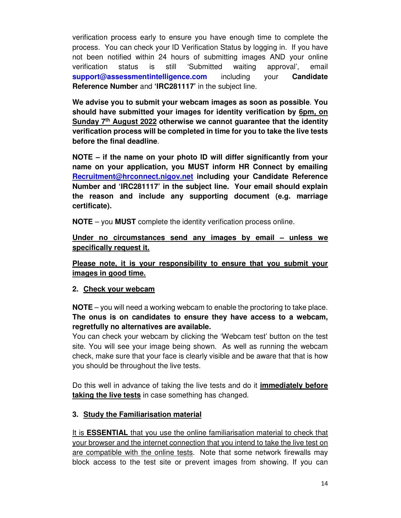verification process early to ensure you have enough time to complete the process. You can check your ID Verification Status by logging in. If you have not been notified within 24 hours of submitting images AND your online verification status is still 'Submitted waiting approval', email **support@assessmentintelligence.com** including your **Candidate Reference Number** and **'IRC281117'** in the subject line.

**We advise you to submit your webcam images as soon as possible**. **You should have submitted your images for identity verification by 6pm, on Sunday 7th August 2022 otherwise we cannot guarantee that the identity verification process will be completed in time for you to take the live tests before the final deadline**.

**NOTE – if the name on your photo ID will differ significantly from your name on your application, you MUST inform HR Connect by emailing Recruitment@hrconnect.nigov.net including your Candidate Reference Number and 'IRC281117' in the subject line. Your email should explain the reason and include any supporting document (e.g. marriage certificate).** 

**NOTE** – you **MUST** complete the identity verification process online.

**Under no circumstances send any images by email – unless we specifically request it.** 

**Please note, it is your responsibility to ensure that you submit your images in good time.** 

# **2. Check your webcam**

**NOTE** – you will need a working webcam to enable the proctoring to take place. **The onus is on candidates to ensure they have access to a webcam, regretfully no alternatives are available.**

You can check your webcam by clicking the 'Webcam test' button on the test site. You will see your image being shown. As well as running the webcam check, make sure that your face is clearly visible and be aware that that is how you should be throughout the live tests.

Do this well in advance of taking the live tests and do it **immediately before taking the live tests** in case something has changed.

# **3. Study the Familiarisation material**

It is **ESSENTIAL** that you use the online familiarisation material to check that your browser and the internet connection that you intend to take the live test on are compatible with the online tests. Note that some network firewalls may block access to the test site or prevent images from showing. If you can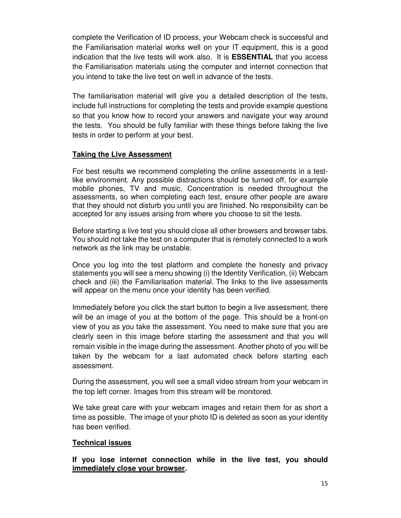complete the Verification of ID process, your Webcam check is successful and the Familiarisation material works well on your IT equipment, this is a good indication that the live tests will work also. It is **ESSENTIAL** that you access the Familiarisation materials using the computer and internet connection that you intend to take the live test on well in advance of the tests.

The familiarisation material will give you a detailed description of the tests, include full instructions for completing the tests and provide example questions so that you know how to record your answers and navigate your way around the tests. You should be fully familiar with these things before taking the live tests in order to perform at your best.

## **Taking the Live Assessment**

For best results we recommend completing the online assessments in a testlike environment. Any possible distractions should be turned off, for example mobile phones, TV and music. Concentration is needed throughout the assessments, so when completing each test, ensure other people are aware that they should not disturb you until you are finished. No responsibility can be accepted for any issues arising from where you choose to sit the tests.

Before starting a live test you should close all other browsers and browser tabs. You should not take the test on a computer that is remotely connected to a work network as the link may be unstable.

Once you log into the test platform and complete the honesty and privacy statements you will see a menu showing (i) the Identity Verification, (ii) Webcam check and (iii) the Familiarisation material. The links to the live assessments will appear on the menu once your identity has been verified.

Immediately before you click the start button to begin a live assessment, there will be an image of you at the bottom of the page. This should be a front-on view of you as you take the assessment. You need to make sure that you are clearly seen in this image before starting the assessment and that you will remain visible in the image during the assessment. Another photo of you will be taken by the webcam for a last automated check before starting each assessment.

During the assessment, you will see a small video stream from your webcam in the top left corner. Images from this stream will be monitored.

We take great care with your webcam images and retain them for as short a time as possible. The image of your photo ID is deleted as soon as your identity has been verified.

#### **Technical issues**

**If you lose internet connection while in the live test, you should immediately close your browser.**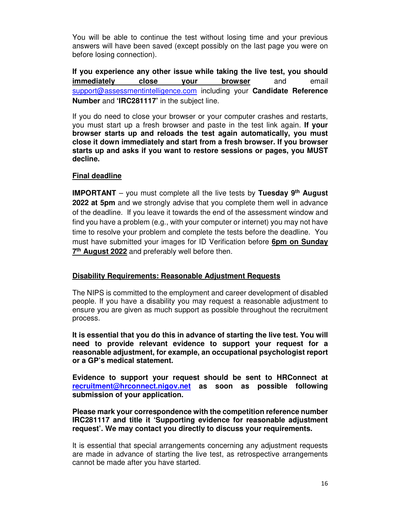You will be able to continue the test without losing time and your previous answers will have been saved (except possibly on the last page you were on before losing connection).

**If you experience any other issue while taking the live test, you should immediately close your browser** and email support@assessmentintelligence.com including your **Candidate Reference Number** and **'IRC281117'** in the subject line.

If you do need to close your browser or your computer crashes and restarts, you must start up a fresh browser and paste in the test link again. **If your browser starts up and reloads the test again automatically, you must close it down immediately and start from a fresh browser. If you browser starts up and asks if you want to restore sessions or pages, you MUST decline.**

#### **Final deadline**

**IMPORTANT** – you must complete all the live tests by **Tuesday 9th August 2022 at 5pm** and we strongly advise that you complete them well in advance of the deadline. If you leave it towards the end of the assessment window and find you have a problem (e.g., with your computer or internet) you may not have time to resolve your problem and complete the tests before the deadline. You must have submitted your images for ID Verification before **6pm on Sunday 7 th August 2022** and preferably well before then.

#### **Disability Requirements: Reasonable Adjustment Requests**

The NIPS is committed to the employment and career development of disabled people. If you have a disability you may request a reasonable adjustment to ensure you are given as much support as possible throughout the recruitment process.

**It is essential that you do this in advance of starting the live test. You will need to provide relevant evidence to support your request for a reasonable adjustment, for example, an occupational psychologist report or a GP's medical statement.** 

**Evidence to support your request should be sent to HRConnect at recruitment@hrconnect.nigov.net as soon as possible following submission of your application.** 

**Please mark your correspondence with the competition reference number IRC281117 and title it 'Supporting evidence for reasonable adjustment request'. We may contact you directly to discuss your requirements.** 

It is essential that special arrangements concerning any adjustment requests are made in advance of starting the live test, as retrospective arrangements cannot be made after you have started.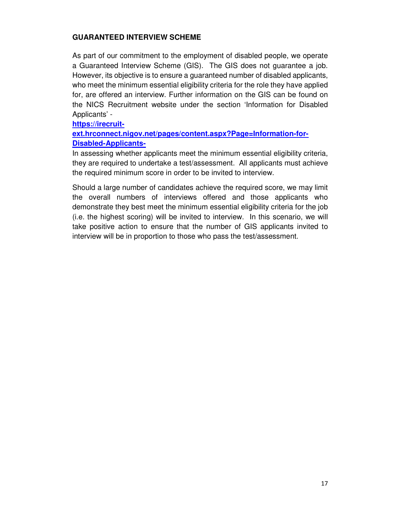# **GUARANTEED INTERVIEW SCHEME**

As part of our commitment to the employment of disabled people, we operate a Guaranteed Interview Scheme (GIS). The GIS does not guarantee a job. However, its objective is to ensure a guaranteed number of disabled applicants, who meet the minimum essential eligibility criteria for the role they have applied for, are offered an interview. Further information on the GIS can be found on the NICS Recruitment website under the section 'Information for Disabled Applicants' -

**https://irecruit-**

**ext.hrconnect.nigov.net/pages/content.aspx?Page=Information-for-Disabled-Applicants-**

In assessing whether applicants meet the minimum essential eligibility criteria, they are required to undertake a test/assessment. All applicants must achieve the required minimum score in order to be invited to interview.

Should a large number of candidates achieve the required score, we may limit the overall numbers of interviews offered and those applicants who demonstrate they best meet the minimum essential eligibility criteria for the job (i.e. the highest scoring) will be invited to interview. In this scenario, we will take positive action to ensure that the number of GIS applicants invited to interview will be in proportion to those who pass the test/assessment.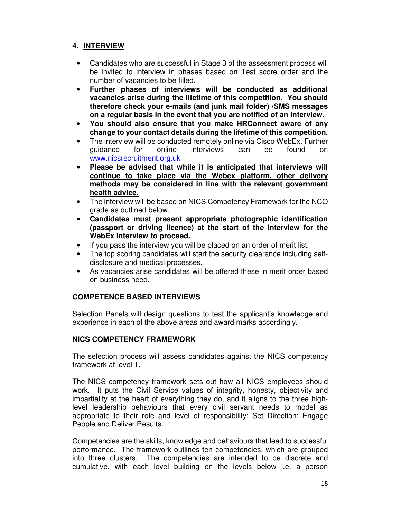# **4. INTERVIEW**

- Candidates who are successful in Stage 3 of the assessment process will be invited to interview in phases based on Test score order and the number of vacancies to be filled.
- **Further phases of interviews will be conducted as additional vacancies arise during the lifetime of this competition. You should therefore check your e-mails (and junk mail folder) /SMS messages on a regular basis in the event that you are notified of an interview.**
- **You should also ensure that you make HRConnect aware of any change to your contact details during the lifetime of this competition.**
- The interview will be conducted remotely online via Cisco WebEx. Further guidance for online interviews can be found on www.nicsrecruitment.org.uk
- **Please be advised that while it is anticipated that interviews will continue to take place via the Webex platform, other delivery methods may be considered in line with the relevant government health advice.**
- The interview will be based on NICS Competency Framework for the NCO grade as outlined below.
- **Candidates must present appropriate photographic identification (passport or driving licence) at the start of the interview for the WebEx interview to proceed.**
- If you pass the interview you will be placed on an order of merit list.
- The top scoring candidates will start the security clearance including selfdisclosure and medical processes.
- As vacancies arise candidates will be offered these in merit order based on business need.

# **COMPETENCE BASED INTERVIEWS**

Selection Panels will design questions to test the applicant's knowledge and experience in each of the above areas and award marks accordingly.

# **NICS COMPETENCY FRAMEWORK**

The selection process will assess candidates against the NICS competency framework at level 1.

The NICS competency framework sets out how all NICS employees should work. It puts the Civil Service values of integrity, honesty, objectivity and impartiality at the heart of everything they do, and it aligns to the three highlevel leadership behaviours that every civil servant needs to model as appropriate to their role and level of responsibility: Set Direction; Engage People and Deliver Results.

Competencies are the skills, knowledge and behaviours that lead to successful performance. The framework outlines ten competencies, which are grouped into three clusters. The competencies are intended to be discrete and cumulative, with each level building on the levels below i.e. a person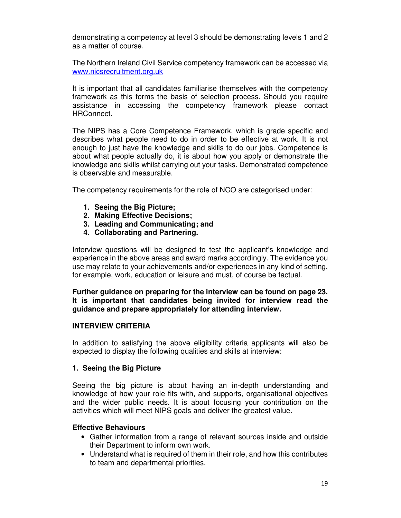demonstrating a competency at level 3 should be demonstrating levels 1 and 2 as a matter of course.

The Northern Ireland Civil Service competency framework can be accessed via www.nicsrecruitment.org.uk

It is important that all candidates familiarise themselves with the competency framework as this forms the basis of selection process. Should you require assistance in accessing the competency framework please contact HRConnect.

The NIPS has a Core Competence Framework, which is grade specific and describes what people need to do in order to be effective at work. It is not enough to just have the knowledge and skills to do our jobs. Competence is about what people actually do, it is about how you apply or demonstrate the knowledge and skills whilst carrying out your tasks. Demonstrated competence is observable and measurable.

The competency requirements for the role of NCO are categorised under:

- **1. Seeing the Big Picture;**
- **2. Making Effective Decisions;**
- **3. Leading and Communicating; and**
- **4. Collaborating and Partnering.**

Interview questions will be designed to test the applicant's knowledge and experience in the above areas and award marks accordingly. The evidence you use may relate to your achievements and/or experiences in any kind of setting, for example, work, education or leisure and must, of course be factual.

**Further guidance on preparing for the interview can be found on page 23. It is important that candidates being invited for interview read the guidance and prepare appropriately for attending interview.** 

#### **INTERVIEW CRITERIA**

In addition to satisfying the above eligibility criteria applicants will also be expected to display the following qualities and skills at interview:

#### **1. Seeing the Big Picture**

Seeing the big picture is about having an in-depth understanding and knowledge of how your role fits with, and supports, organisational objectives and the wider public needs. It is about focusing your contribution on the activities which will meet NIPS goals and deliver the greatest value.

#### **Effective Behaviours**

- Gather information from a range of relevant sources inside and outside their Department to inform own work.
- Understand what is required of them in their role, and how this contributes to team and departmental priorities.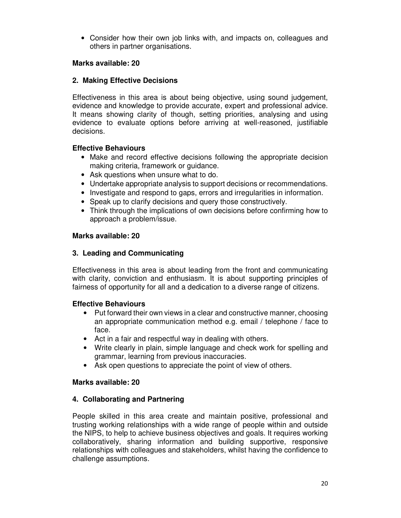• Consider how their own job links with, and impacts on, colleagues and others in partner organisations.

## **Marks available: 20**

## **2. Making Effective Decisions**

Effectiveness in this area is about being objective, using sound judgement, evidence and knowledge to provide accurate, expert and professional advice. It means showing clarity of though, setting priorities, analysing and using evidence to evaluate options before arriving at well-reasoned, justifiable decisions.

## **Effective Behaviours**

- Make and record effective decisions following the appropriate decision making criteria, framework or guidance.
- Ask questions when unsure what to do.
- Undertake appropriate analysis to support decisions or recommendations.
- Investigate and respond to gaps, errors and irregularities in information.
- Speak up to clarify decisions and query those constructively.
- Think through the implications of own decisions before confirming how to approach a problem/issue.

#### **Marks available: 20**

## **3. Leading and Communicating**

Effectiveness in this area is about leading from the front and communicating with clarity, conviction and enthusiasm. It is about supporting principles of fairness of opportunity for all and a dedication to a diverse range of citizens.

#### **Effective Behaviours**

- Put forward their own views in a clear and constructive manner, choosing an appropriate communication method e.g. email / telephone / face to face.
- Act in a fair and respectful way in dealing with others.
- Write clearly in plain, simple language and check work for spelling and grammar, learning from previous inaccuracies.
- Ask open questions to appreciate the point of view of others.

#### **Marks available: 20**

#### **4. Collaborating and Partnering**

People skilled in this area create and maintain positive, professional and trusting working relationships with a wide range of people within and outside the NIPS, to help to achieve business objectives and goals. It requires working collaboratively, sharing information and building supportive, responsive relationships with colleagues and stakeholders, whilst having the confidence to challenge assumptions.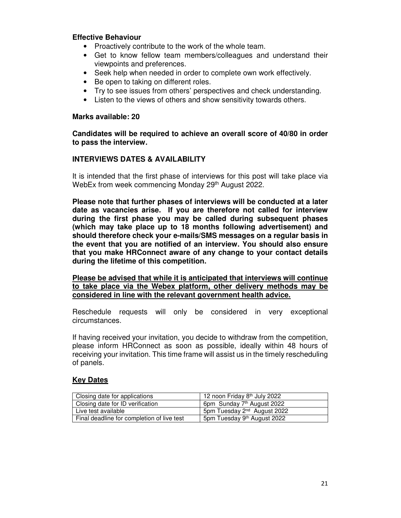#### **Effective Behaviour**

- Proactively contribute to the work of the whole team.
- Get to know fellow team members/colleagues and understand their viewpoints and preferences.
- Seek help when needed in order to complete own work effectively.
- Be open to taking on different roles.
- Try to see issues from others' perspectives and check understanding.
- Listen to the views of others and show sensitivity towards others.

#### **Marks available: 20**

**Candidates will be required to achieve an overall score of 40/80 in order to pass the interview.** 

#### **INTERVIEWS DATES & AVAILABILITY**

It is intended that the first phase of interviews for this post will take place via WebEx from week commencing Monday 29th August 2022.

**Please note that further phases of interviews will be conducted at a later date as vacancies arise. If you are therefore not called for interview during the first phase you may be called during subsequent phases (which may take place up to 18 months following advertisement) and should therefore check your e-mails/SMS messages on a regular basis in the event that you are notified of an interview. You should also ensure that you make HRConnect aware of any change to your contact details during the lifetime of this competition.** 

**Please be advised that while it is anticipated that interviews will continue to take place via the Webex platform, other delivery methods may be considered in line with the relevant government health advice.** 

Reschedule requests will only be considered in very exceptional circumstances.

If having received your invitation, you decide to withdraw from the competition, please inform HRConnect as soon as possible, ideally within 48 hours of receiving your invitation. This time frame will assist us in the timely rescheduling of panels.

#### **Key Dates**

| Closing date for applications              | 12 noon Friday 8 <sup>th</sup> July 2022 |
|--------------------------------------------|------------------------------------------|
| Closing date for ID verification           | 6pm Sunday 7 <sup>th</sup> August 2022   |
| Live test available                        | 5pm Tuesday 2 <sup>nd</sup> August 2022  |
| Final deadline for completion of live test | 5pm Tuesday 9 <sup>th</sup> August 2022  |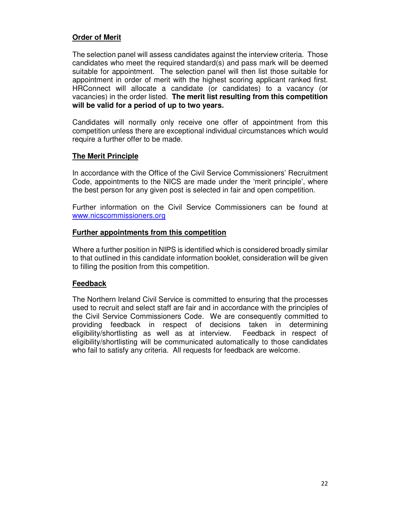## **Order of Merit**

The selection panel will assess candidates against the interview criteria. Those candidates who meet the required standard(s) and pass mark will be deemed suitable for appointment. The selection panel will then list those suitable for appointment in order of merit with the highest scoring applicant ranked first. HRConnect will allocate a candidate (or candidates) to a vacancy (or vacancies) in the order listed. **The merit list resulting from this competition will be valid for a period of up to two years.** 

Candidates will normally only receive one offer of appointment from this competition unless there are exceptional individual circumstances which would require a further offer to be made.

#### **The Merit Principle**

In accordance with the Office of the Civil Service Commissioners' Recruitment Code, appointments to the NICS are made under the 'merit principle', where the best person for any given post is selected in fair and open competition.

Further information on the Civil Service Commissioners can be found at www.nicscommissioners.org

#### **Further appointments from this competition**

Where a further position in NIPS is identified which is considered broadly similar to that outlined in this candidate information booklet, consideration will be given to filling the position from this competition.

#### **Feedback**

The Northern Ireland Civil Service is committed to ensuring that the processes used to recruit and select staff are fair and in accordance with the principles of the Civil Service Commissioners Code. We are consequently committed to providing feedback in respect of decisions taken in determining eligibility/shortlisting as well as at interview. Feedback in respect of eligibility/shortlisting will be communicated automatically to those candidates who fail to satisfy any criteria. All requests for feedback are welcome.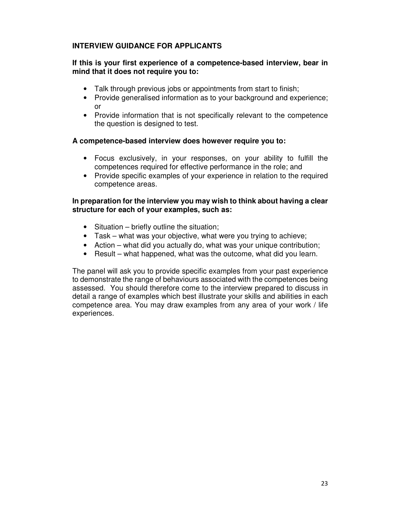# **INTERVIEW GUIDANCE FOR APPLICANTS**

## **If this is your first experience of a competence-based interview, bear in mind that it does not require you to:**

- Talk through previous jobs or appointments from start to finish;
- Provide generalised information as to your background and experience; or
- Provide information that is not specifically relevant to the competence the question is designed to test.

#### **A competence-based interview does however require you to:**

- Focus exclusively, in your responses, on your ability to fulfill the competences required for effective performance in the role; and
- Provide specific examples of your experience in relation to the required competence areas.

#### **In preparation for the interview you may wish to think about having a clear structure for each of your examples, such as:**

- Situation briefly outline the situation;
- Task what was your objective, what were you trying to achieve;
- Action what did you actually do, what was your unique contribution;
- Result what happened, what was the outcome, what did you learn.

The panel will ask you to provide specific examples from your past experience to demonstrate the range of behaviours associated with the competences being assessed. You should therefore come to the interview prepared to discuss in detail a range of examples which best illustrate your skills and abilities in each competence area. You may draw examples from any area of your work / life experiences.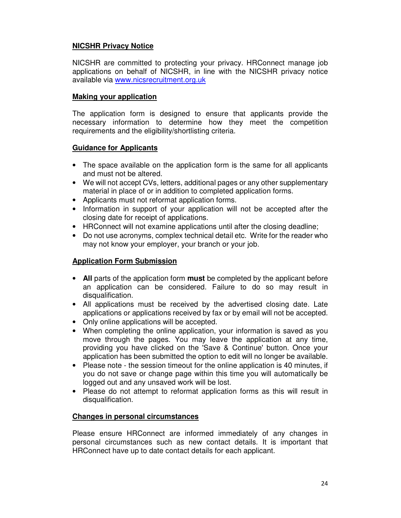# **NICSHR Privacy Notice**

NICSHR are committed to protecting your privacy. HRConnect manage job applications on behalf of NICSHR, in line with the NICSHR privacy notice available via www.nicsrecruitment.org.uk

## **Making your application**

The application form is designed to ensure that applicants provide the necessary information to determine how they meet the competition requirements and the eligibility/shortlisting criteria.

# **Guidance for Applicants**

- The space available on the application form is the same for all applicants and must not be altered.
- We will not accept CVs, letters, additional pages or any other supplementary material in place of or in addition to completed application forms.
- Applicants must not reformat application forms.
- Information in support of your application will not be accepted after the closing date for receipt of applications.
- HRConnect will not examine applications until after the closing deadline;
- Do not use acronyms, complex technical detail etc. Write for the reader who may not know your employer, your branch or your job.

# **Application Form Submission**

- **All** parts of the application form **must** be completed by the applicant before an application can be considered. Failure to do so may result in disqualification.
- All applications must be received by the advertised closing date. Late applications or applications received by fax or by email will not be accepted.
- Only online applications will be accepted.
- When completing the online application, your information is saved as you move through the pages. You may leave the application at any time, providing you have clicked on the 'Save & Continue' button. Once your application has been submitted the option to edit will no longer be available.
- Please note the session timeout for the online application is 40 minutes, if you do not save or change page within this time you will automatically be logged out and any unsaved work will be lost.
- Please do not attempt to reformat application forms as this will result in disqualification.

#### **Changes in personal circumstances**

Please ensure HRConnect are informed immediately of any changes in personal circumstances such as new contact details. It is important that HRConnect have up to date contact details for each applicant.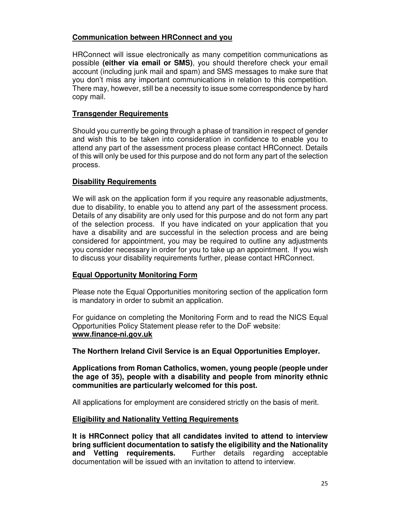## **Communication between HRConnect and you**

HRConnect will issue electronically as many competition communications as possible **(either via email or SMS)**, you should therefore check your email account (including junk mail and spam) and SMS messages to make sure that you don't miss any important communications in relation to this competition. There may, however, still be a necessity to issue some correspondence by hard copy mail.

## **Transgender Requirements**

Should you currently be going through a phase of transition in respect of gender and wish this to be taken into consideration in confidence to enable you to attend any part of the assessment process please contact HRConnect. Details of this will only be used for this purpose and do not form any part of the selection process.

## **Disability Requirements**

We will ask on the application form if you require any reasonable adjustments, due to disability, to enable you to attend any part of the assessment process. Details of any disability are only used for this purpose and do not form any part of the selection process. If you have indicated on your application that you have a disability and are successful in the selection process and are being considered for appointment, you may be required to outline any adjustments you consider necessary in order for you to take up an appointment. If you wish to discuss your disability requirements further, please contact HRConnect.

# **Equal Opportunity Monitoring Form**

Please note the Equal Opportunities monitoring section of the application form is mandatory in order to submit an application.

For guidance on completing the Monitoring Form and to read the NICS Equal Opportunities Policy Statement please refer to the DoF website: **www.finance-ni.gov.uk** 

**The Northern Ireland Civil Service is an Equal Opportunities Employer.** 

**Applications from Roman Catholics, women, young people (people under the age of 35), people with a disability and people from minority ethnic communities are particularly welcomed for this post.** 

All applications for employment are considered strictly on the basis of merit.

#### **Eligibility and Nationality Vetting Requirements**

**It is HRConnect policy that all candidates invited to attend to interview bring sufficient documentation to satisfy the eligibility and the Nationality and Vetting requirements.** Further details regarding acceptable documentation will be issued with an invitation to attend to interview.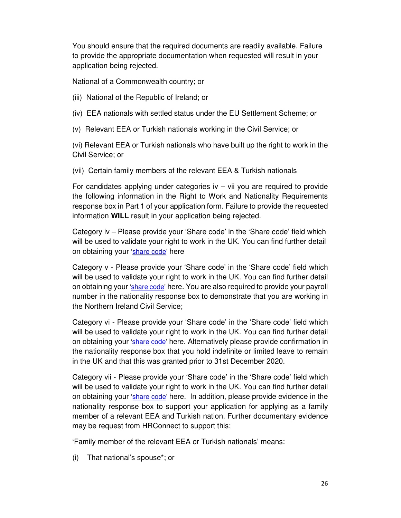You should ensure that the required documents are readily available. Failure to provide the appropriate documentation when requested will result in your application being rejected.

National of a Commonwealth country; or

(iii) National of the Republic of Ireland; or

(iv) EEA nationals with settled status under the EU Settlement Scheme; or

(v) Relevant EEA or Turkish nationals working in the Civil Service; or

(vi) Relevant EEA or Turkish nationals who have built up the right to work in the Civil Service; or

(vii) Certain family members of the relevant EEA & Turkish nationals

For candidates applying under categories  $iv - vii$  you are required to provide the following information in the Right to Work and Nationality Requirements response box in Part 1 of your application form. Failure to provide the requested information **WILL** result in your application being rejected.

Category iv – Please provide your 'Share code' in the 'Share code' field which will be used to validate your right to work in the UK. You can find further detail on obtaining your 'share code' here

Category v - Please provide your 'Share code' in the 'Share code' field which will be used to validate your right to work in the UK. You can find further detail on obtaining your 'share code' here. You are also required to provide your payroll number in the nationality response box to demonstrate that you are working in the Northern Ireland Civil Service;

Category vi - Please provide your 'Share code' in the 'Share code' field which will be used to validate your right to work in the UK. You can find further detail on obtaining your 'share code' here. Alternatively please provide confirmation in the nationality response box that you hold indefinite or limited leave to remain in the UK and that this was granted prior to 31st December 2020.

Category vii - Please provide your 'Share code' in the 'Share code' field which will be used to validate your right to work in the UK. You can find further detail on obtaining your 'share code' here. In addition, please provide evidence in the nationality response box to support your application for applying as a family member of a relevant EEA and Turkish nation. Further documentary evidence may be request from HRConnect to support this;

'Family member of the relevant EEA or Turkish nationals' means:

(i) That national's spouse\*; or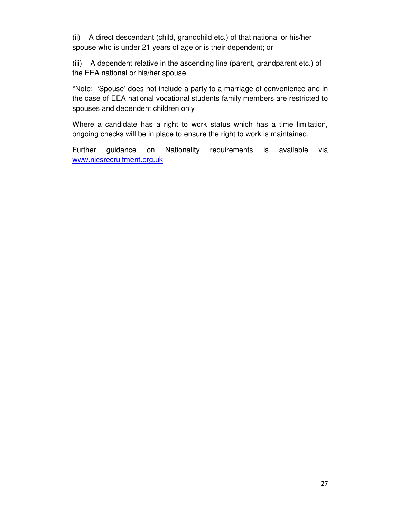(ii) A direct descendant (child, grandchild etc.) of that national or his/her spouse who is under 21 years of age or is their dependent; or

(iii) A dependent relative in the ascending line (parent, grandparent etc.) of the EEA national or his/her spouse.

\*Note: 'Spouse' does not include a party to a marriage of convenience and in the case of EEA national vocational students family members are restricted to spouses and dependent children only

Where a candidate has a right to work status which has a time limitation, ongoing checks will be in place to ensure the right to work is maintained.

Further guidance on Nationality requirements is available via www.nicsrecruitment.org.uk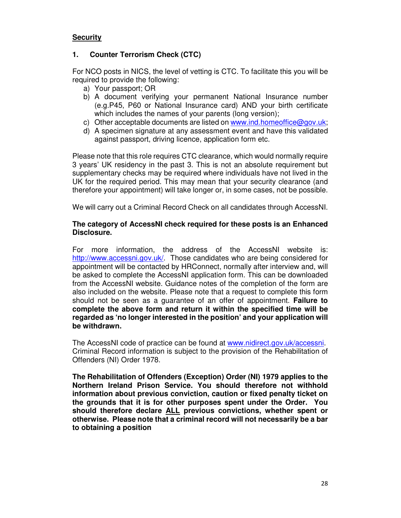# **Security**

## **1. Counter Terrorism Check (CTC)**

For NCO posts in NICS, the level of vetting is CTC. To facilitate this you will be required to provide the following:

- a) Your passport; OR
- b) A document verifying your permanent National Insurance number (e.g.P45, P60 or National Insurance card) AND your birth certificate which includes the names of your parents (long version);
- c) Other acceptable documents are listed on www.ind.homeoffice@gov.uk;
- d) A specimen signature at any assessment event and have this validated against passport, driving licence, application form etc.

Please note that this role requires CTC clearance, which would normally require 3 years' UK residency in the past 3. This is not an absolute requirement but supplementary checks may be required where individuals have not lived in the UK for the required period. This may mean that your security clearance (and therefore your appointment) will take longer or, in some cases, not be possible.

We will carry out a Criminal Record Check on all candidates through AccessNI.

#### **The category of AccessNI check required for these posts is an Enhanced Disclosure.**

For more information, the address of the AccessNI website is: http://www.accessni.gov.uk/. Those candidates who are being considered for appointment will be contacted by HRConnect, normally after interview and, will be asked to complete the AccessNI application form. This can be downloaded from the AccessNI website. Guidance notes of the completion of the form are also included on the website. Please note that a request to complete this form should not be seen as a guarantee of an offer of appointment. **Failure to complete the above form and return it within the specified time will be regarded as 'no longer interested in the position' and your application will be withdrawn.** 

The AccessNI code of practice can be found at www.nidirect.gov.uk/accessni. Criminal Record information is subject to the provision of the Rehabilitation of Offenders (NI) Order 1978.

**The Rehabilitation of Offenders (Exception) Order (NI) 1979 applies to the Northern Ireland Prison Service. You should therefore not withhold information about previous conviction, caution or fixed penalty ticket on the grounds that it is for other purposes spent under the Order. You should therefore declare ALL previous convictions, whether spent or otherwise. Please note that a criminal record will not necessarily be a bar to obtaining a position**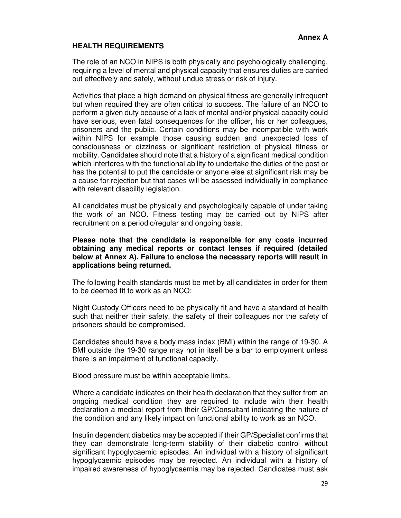# **HEALTH REQUIREMENTS**

The role of an NCO in NIPS is both physically and psychologically challenging, requiring a level of mental and physical capacity that ensures duties are carried out effectively and safely, without undue stress or risk of injury.

Activities that place a high demand on physical fitness are generally infrequent but when required they are often critical to success. The failure of an NCO to perform a given duty because of a lack of mental and/or physical capacity could have serious, even fatal consequences for the officer, his or her colleagues, prisoners and the public. Certain conditions may be incompatible with work within NIPS for example those causing sudden and unexpected loss of consciousness or dizziness or significant restriction of physical fitness or mobility. Candidates should note that a history of a significant medical condition which interferes with the functional ability to undertake the duties of the post or has the potential to put the candidate or anyone else at significant risk may be a cause for rejection but that cases will be assessed individually in compliance with relevant disability legislation.

All candidates must be physically and psychologically capable of under taking the work of an NCO. Fitness testing may be carried out by NIPS after recruitment on a periodic/regular and ongoing basis.

#### **Please note that the candidate is responsible for any costs incurred obtaining any medical reports or contact lenses if required (detailed below at Annex A). Failure to enclose the necessary reports will result in applications being returned.**

The following health standards must be met by all candidates in order for them to be deemed fit to work as an NCO:

Night Custody Officers need to be physically fit and have a standard of health such that neither their safety, the safety of their colleagues nor the safety of prisoners should be compromised.

Candidates should have a body mass index (BMI) within the range of 19-30. A BMI outside the 19-30 range may not in itself be a bar to employment unless there is an impairment of functional capacity.

Blood pressure must be within acceptable limits.

Where a candidate indicates on their health declaration that they suffer from an ongoing medical condition they are required to include with their health declaration a medical report from their GP/Consultant indicating the nature of the condition and any likely impact on functional ability to work as an NCO.

Insulin dependent diabetics may be accepted if their GP/Specialist confirms that they can demonstrate long-term stability of their diabetic control without significant hypoglycaemic episodes. An individual with a history of significant hypoglycaemic episodes may be rejected. An individual with a history of impaired awareness of hypoglycaemia may be rejected. Candidates must ask